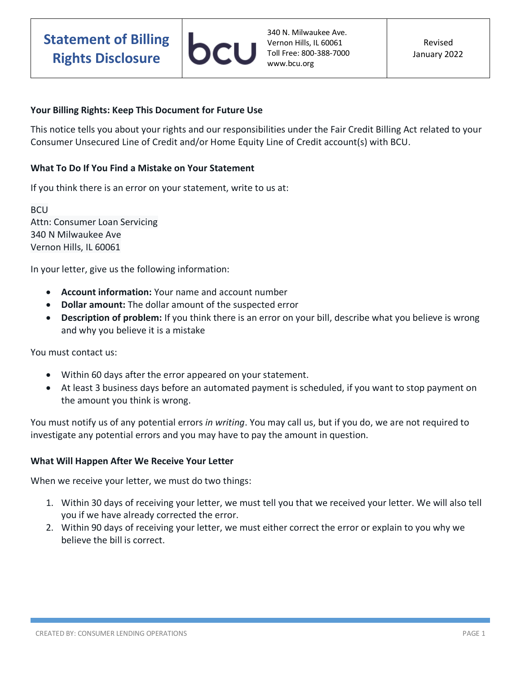## **Your Billing Rights: Keep This Document for Future Use**

This notice tells you about your rights and our responsibilities under the Fair Credit Billing Act related to your Consumer Unsecured Line of Credit and/or Home Equity Line of Credit account(s) with BCU.

## **What To Do If You Find a Mistake on Your Statement**

If you think there is an error on your statement, write to us at:

**BCU** Attn: Consumer Loan Servicing 340 N Milwaukee Ave Vernon Hills, IL 60061

In your letter, give us the following information:

- **Account information:** Your name and account number
- **Dollar amount:** The dollar amount of the suspected error
- **Description of problem:** If you think there is an error on your bill, describe what you believe is wrong and why you believe it is a mistake

You must contact us:

- Within 60 days after the error appeared on your statement.
- At least 3 business days before an automated payment is scheduled, if you want to stop payment on the amount you think is wrong.

You must notify us of any potential errors *in writing*. You may call us, but if you do, we are not required to investigate any potential errors and you may have to pay the amount in question.

## **What Will Happen After We Receive Your Letter**

When we receive your letter, we must do two things:

- 1. Within 30 days of receiving your letter, we must tell you that we received your letter. We will also tell you if we have already corrected the error.
- 2. Within 90 days of receiving your letter, we must either correct the error or explain to you why we believe the bill is correct.